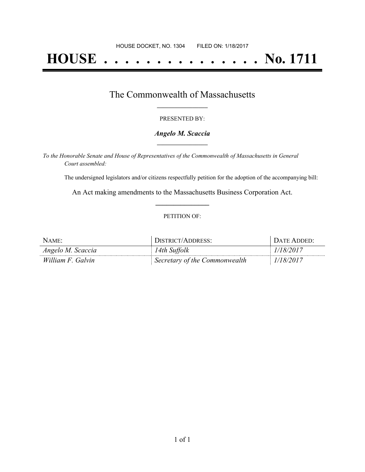# **HOUSE . . . . . . . . . . . . . . . No. 1711**

## The Commonwealth of Massachusetts **\_\_\_\_\_\_\_\_\_\_\_\_\_\_\_\_\_**

#### PRESENTED BY:

## *Angelo M. Scaccia* **\_\_\_\_\_\_\_\_\_\_\_\_\_\_\_\_\_**

*To the Honorable Senate and House of Representatives of the Commonwealth of Massachusetts in General Court assembled:*

The undersigned legislators and/or citizens respectfully petition for the adoption of the accompanying bill:

An Act making amendments to the Massachusetts Business Corporation Act. **\_\_\_\_\_\_\_\_\_\_\_\_\_\_\_**

## PETITION OF:

| NAME:             | DISTRICT/ADDRESS:             | DATE ADDED: |
|-------------------|-------------------------------|-------------|
| Angelo M. Scaccia | 14th Suffolk                  | 1/18/2017   |
| William F. Galvin | Secretary of the Commonwealth | 1/18/2017   |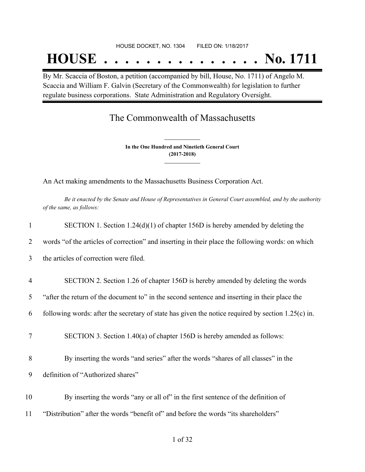## HOUSE DOCKET, NO. 1304 FILED ON: 1/18/2017

# **HOUSE . . . . . . . . . . . . . . . No. 1711**

By Mr. Scaccia of Boston, a petition (accompanied by bill, House, No. 1711) of Angelo M. Scaccia and William F. Galvin (Secretary of the Commonwealth) for legislation to further regulate business corporations. State Administration and Regulatory Oversight.

# The Commonwealth of Massachusetts

**In the One Hundred and Ninetieth General Court (2017-2018) \_\_\_\_\_\_\_\_\_\_\_\_\_\_\_**

**\_\_\_\_\_\_\_\_\_\_\_\_\_\_\_**

An Act making amendments to the Massachusetts Business Corporation Act.

Be it enacted by the Senate and House of Representatives in General Court assembled, and by the authority *of the same, as follows:*

| $\mathbf{1}$   | SECTION 1. Section $1.24(d)(1)$ of chapter 156D is hereby amended by deleting the                    |
|----------------|------------------------------------------------------------------------------------------------------|
| 2              | words "of the articles of correction" and inserting in their place the following words: on which     |
| 3              | the articles of correction were filed.                                                               |
| $\overline{4}$ | SECTION 2. Section 1.26 of chapter 156D is hereby amended by deleting the words                      |
| 5              | "after the return of the document to" in the second sentence and inserting in their place the        |
| 6              | following words: after the secretary of state has given the notice required by section $1.25(c)$ in. |
| 7              | SECTION 3. Section 1.40(a) of chapter 156D is hereby amended as follows:                             |
| 8              | By inserting the words "and series" after the words "shares of all classes" in the                   |
| 9              | definition of "Authorized shares"                                                                    |
| 10             | By inserting the words "any or all of" in the first sentence of the definition of                    |
| 11             | "Distribution" after the words "benefit of" and before the words "its shareholders"                  |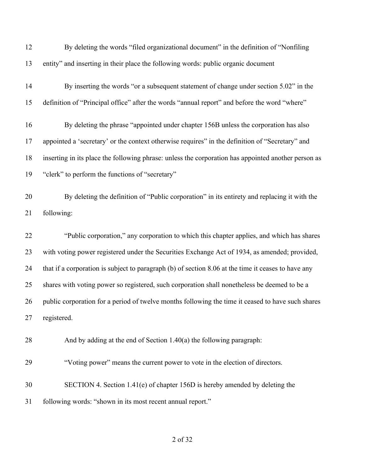| 12 | By deleting the words "filed organizational document" in the definition of "Nonfiling               |
|----|-----------------------------------------------------------------------------------------------------|
| 13 | entity" and inserting in their place the following words: public organic document                   |
| 14 | By inserting the words "or a subsequent statement of change under section 5.02" in the              |
| 15 | definition of "Principal office" after the words "annual report" and before the word "where"        |
| 16 | By deleting the phrase "appointed under chapter 156B unless the corporation has also                |
| 17 | appointed a 'secretary' or the context otherwise requires" in the definition of "Secretary" and     |
| 18 | inserting in its place the following phrase: unless the corporation has appointed another person as |
| 19 | "clerk" to perform the functions of "secretary"                                                     |
| 20 | By deleting the definition of "Public corporation" in its entirety and replacing it with the        |
| 21 | following:                                                                                          |
| 22 | "Public corporation," any corporation to which this chapter applies, and which has shares           |
| 23 | with voting power registered under the Securities Exchange Act of 1934, as amended; provided,       |
| 24 | that if a corporation is subject to paragraph (b) of section 8.06 at the time it ceases to have any |
| 25 | shares with voting power so registered, such corporation shall nonetheless be deemed to be a        |
| 26 | public corporation for a period of twelve months following the time it ceased to have such shares   |
| 27 | registered.                                                                                         |
| 28 | And by adding at the end of Section 1.40(a) the following paragraph:                                |
| 29 | "Voting power" means the current power to vote in the election of directors.                        |
| 30 | SECTION 4. Section 1.41(e) of chapter 156D is hereby amended by deleting the                        |
| 31 | following words: "shown in its most recent annual report."                                          |
|    |                                                                                                     |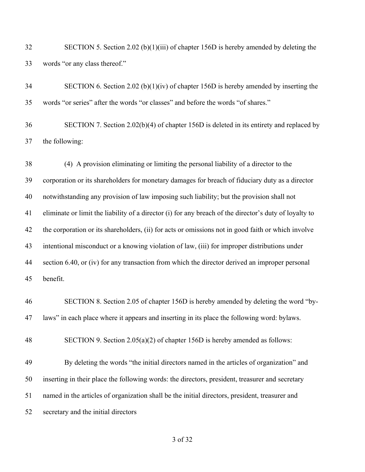SECTION 5. Section 2.02 (b)(1)(iii) of chapter 156D is hereby amended by deleting the words "or any class thereof."

| 34 | SECTION 6. Section 2.02 (b)(1)(iv) of chapter 156D is hereby amended by inserting the      |
|----|--------------------------------------------------------------------------------------------|
| 35 | words "or series" after the words "or classes" and before the words "of shares."           |
| 36 | SECTION 7. Section $2.02(b)(4)$ of chapter 156D is deleted in its entirety and replaced by |



 (4) A provision eliminating or limiting the personal liability of a director to the corporation or its shareholders for monetary damages for breach of fiduciary duty as a director notwithstanding any provision of law imposing such liability; but the provision shall not eliminate or limit the liability of a director (i) for any breach of the director's duty of loyalty to the corporation or its shareholders, (ii) for acts or omissions not in good faith or which involve intentional misconduct or a knowing violation of law, (iii) for improper distributions under 44 section 6.40, or (iv) for any transaction from which the director derived an improper personal benefit.

 SECTION 8. Section 2.05 of chapter 156D is hereby amended by deleting the word "by-laws" in each place where it appears and inserting in its place the following word: bylaws.

SECTION 9. Section 2.05(a)(2) of chapter 156D is hereby amended as follows:

 By deleting the words "the initial directors named in the articles of organization" and inserting in their place the following words: the directors, president, treasurer and secretary named in the articles of organization shall be the initial directors, president, treasurer and secretary and the initial directors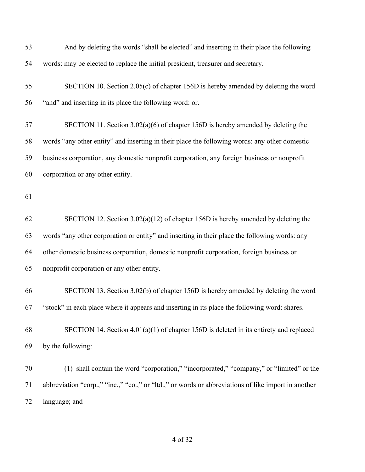| 53 | And by deleting the words "shall be elected" and inserting in their place the following             |
|----|-----------------------------------------------------------------------------------------------------|
| 54 | words: may be elected to replace the initial president, treasurer and secretary.                    |
| 55 | SECTION 10. Section 2.05(c) of chapter 156D is hereby amended by deleting the word                  |
| 56 | "and" and inserting in its place the following word: or.                                            |
| 57 | SECTION 11. Section $3.02(a)(6)$ of chapter 156D is hereby amended by deleting the                  |
| 58 | words "any other entity" and inserting in their place the following words: any other domestic       |
| 59 | business corporation, any domestic nonprofit corporation, any foreign business or nonprofit         |
| 60 | corporation or any other entity.                                                                    |
| 61 |                                                                                                     |
| 62 | SECTION 12. Section $3.02(a)(12)$ of chapter 156D is hereby amended by deleting the                 |
| 63 | words "any other corporation or entity" and inserting in their place the following words: any       |
| 64 | other domestic business corporation, domestic nonprofit corporation, foreign business or            |
| 65 | nonprofit corporation or any other entity.                                                          |
| 66 | SECTION 13. Section 3.02(b) of chapter 156D is hereby amended by deleting the word                  |
| 67 | "stock" in each place where it appears and inserting in its place the following word: shares.       |
| 68 | SECTION 14. Section $4.01(a)(1)$ of chapter 156D is deleted in its entirety and replaced            |
| 69 | by the following:                                                                                   |
| 70 | (1) shall contain the word "corporation," "incorporated," "company," or "limited" or the            |
| 71 | abbreviation "corp.," "inc.," "co.," or "ltd.," or words or abbreviations of like import in another |
| 72 | language; and                                                                                       |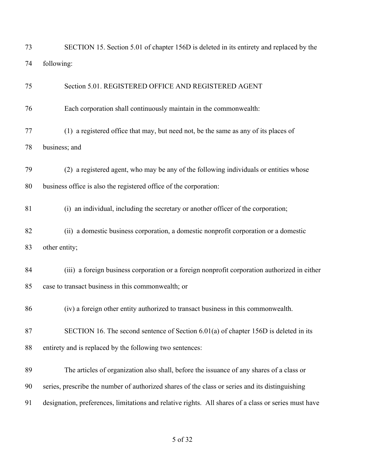| 73 | SECTION 15. Section 5.01 of chapter 156D is deleted in its entirety and replaced by the              |
|----|------------------------------------------------------------------------------------------------------|
| 74 | following:                                                                                           |
| 75 | Section 5.01. REGISTERED OFFICE AND REGISTERED AGENT                                                 |
| 76 | Each corporation shall continuously maintain in the commonwealth:                                    |
| 77 | (1) a registered office that may, but need not, be the same as any of its places of                  |
| 78 | business; and                                                                                        |
| 79 | (2) a registered agent, who may be any of the following individuals or entities whose                |
| 80 | business office is also the registered office of the corporation:                                    |
| 81 | (i) an individual, including the secretary or another officer of the corporation;                    |
| 82 | (ii) a domestic business corporation, a domestic nonprofit corporation or a domestic                 |
| 83 | other entity;                                                                                        |
| 84 | (iii) a foreign business corporation or a foreign nonprofit corporation authorized in either         |
| 85 | case to transact business in this commonwealth; or                                                   |
| 86 | (iv) a foreign other entity authorized to transact business in this commonwealth.                    |
| 87 | SECTION 16. The second sentence of Section $6.01(a)$ of chapter 156D is deleted in its               |
| 88 | entirety and is replaced by the following two sentences:                                             |
| 89 | The articles of organization also shall, before the issuance of any shares of a class or             |
| 90 | series, prescribe the number of authorized shares of the class or series and its distinguishing      |
| 91 | designation, preferences, limitations and relative rights. All shares of a class or series must have |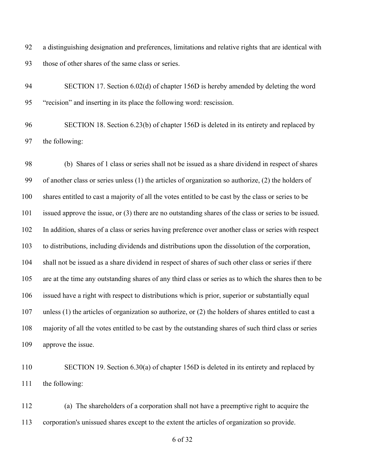a distinguishing designation and preferences, limitations and relative rights that are identical with those of other shares of the same class or series.

 SECTION 17. Section 6.02(d) of chapter 156D is hereby amended by deleting the word "recision" and inserting in its place the following word: rescission.

 SECTION 18. Section 6.23(b) of chapter 156D is deleted in its entirety and replaced by the following:

 (b) Shares of 1 class or series shall not be issued as a share dividend in respect of shares of another class or series unless (1) the articles of organization so authorize, (2) the holders of shares entitled to cast a majority of all the votes entitled to be cast by the class or series to be issued approve the issue, or (3) there are no outstanding shares of the class or series to be issued. In addition, shares of a class or series having preference over another class or series with respect to distributions, including dividends and distributions upon the dissolution of the corporation, shall not be issued as a share dividend in respect of shares of such other class or series if there are at the time any outstanding shares of any third class or series as to which the shares then to be issued have a right with respect to distributions which is prior, superior or substantially equal unless (1) the articles of organization so authorize, or (2) the holders of shares entitled to cast a majority of all the votes entitled to be cast by the outstanding shares of such third class or series approve the issue.

110 SECTION 19. Section 6.30(a) of chapter 156D is deleted in its entirety and replaced by the following:

 (a) The shareholders of a corporation shall not have a preemptive right to acquire the corporation's unissued shares except to the extent the articles of organization so provide.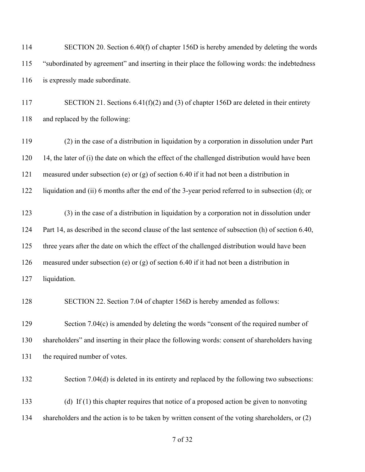| 114 | SECTION 20. Section 6.40(f) of chapter 156D is hereby amended by deleting the words                |
|-----|----------------------------------------------------------------------------------------------------|
| 115 | "subordinated by agreement" and inserting in their place the following words: the indebtedness     |
| 116 | is expressly made subordinate.                                                                     |
| 117 | SECTION 21. Sections $6.41(f)(2)$ and (3) of chapter 156D are deleted in their entirety            |
| 118 | and replaced by the following:                                                                     |
| 119 | (2) in the case of a distribution in liquidation by a corporation in dissolution under Part        |
| 120 | 14, the later of (i) the date on which the effect of the challenged distribution would have been   |
| 121 | measured under subsection (e) or (g) of section 6.40 if it had not been a distribution in          |
| 122 | liquidation and (ii) 6 months after the end of the 3-year period referred to in subsection (d); or |
| 123 | (3) in the case of a distribution in liquidation by a corporation not in dissolution under         |
| 124 | Part 14, as described in the second clause of the last sentence of subsection (h) of section 6.40, |
| 125 | three years after the date on which the effect of the challenged distribution would have been      |
| 126 | measured under subsection (e) or (g) of section 6.40 if it had not been a distribution in          |
| 127 | liquidation.                                                                                       |
| 128 | SECTION 22. Section 7.04 of chapter 156D is hereby amended as follows:                             |
| 129 | Section 7.04(c) is amended by deleting the words "consent of the required number of                |
| 130 | shareholders" and inserting in their place the following words: consent of shareholders having     |
| 131 | the required number of votes.                                                                      |
| 132 | Section 7.04(d) is deleted in its entirety and replaced by the following two subsections:          |
| 133 | (d) If (1) this chapter requires that notice of a proposed action be given to nonvoting            |
| 134 | shareholders and the action is to be taken by written consent of the voting shareholders, or (2)   |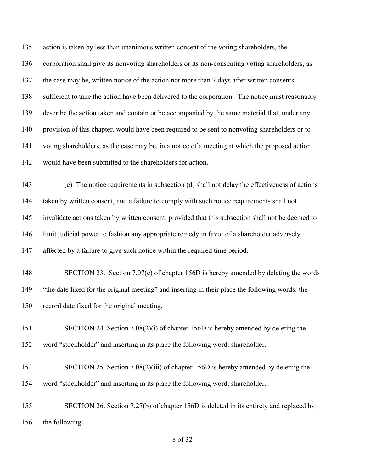action is taken by less than unanimous written consent of the voting shareholders, the corporation shall give its nonvoting shareholders or its non-consenting voting shareholders, as 137 the case may be, written notice of the action not more than 7 days after written consents sufficient to take the action have been delivered to the corporation. The notice must reasonably describe the action taken and contain or be accompanied by the same material that, under any provision of this chapter, would have been required to be sent to nonvoting shareholders or to voting shareholders, as the case may be, in a notice of a meeting at which the proposed action would have been submitted to the shareholders for action.

 (e) The notice requirements in subsection (d) shall not delay the effectiveness of actions taken by written consent, and a failure to comply with such notice requirements shall not invalidate actions taken by written consent, provided that this subsection shall not be deemed to limit judicial power to fashion any appropriate remedy in favor of a shareholder adversely 147 affected by a failure to give such notice within the required time period.

148 SECTION 23. Section 7.07(c) of chapter 156D is hereby amended by deleting the words "the date fixed for the original meeting" and inserting in their place the following words: the record date fixed for the original meeting.

 SECTION 24. Section 7.08(2)(i) of chapter 156D is hereby amended by deleting the word "stockholder" and inserting in its place the following word: shareholder.

 SECTION 25. Section 7.08(2)(iii) of chapter 156D is hereby amended by deleting the word "stockholder" and inserting in its place the following word: shareholder.

 SECTION 26. Section 7.27(b) of chapter 156D is deleted in its entirety and replaced by the following: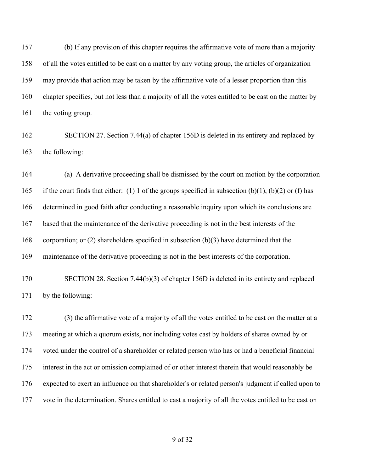(b) If any provision of this chapter requires the affirmative vote of more than a majority of all the votes entitled to be cast on a matter by any voting group, the articles of organization may provide that action may be taken by the affirmative vote of a lesser proportion than this chapter specifies, but not less than a majority of all the votes entitled to be cast on the matter by the voting group.

 SECTION 27. Section 7.44(a) of chapter 156D is deleted in its entirety and replaced by the following:

 (a) A derivative proceeding shall be dismissed by the court on motion by the corporation 165 if the court finds that either: (1) 1 of the groups specified in subsection (b)(1), (b)(2) or (f) has determined in good faith after conducting a reasonable inquiry upon which its conclusions are based that the maintenance of the derivative proceeding is not in the best interests of the corporation; or (2) shareholders specified in subsection (b)(3) have determined that the maintenance of the derivative proceeding is not in the best interests of the corporation.

 SECTION 28. Section 7.44(b)(3) of chapter 156D is deleted in its entirety and replaced by the following:

 (3) the affirmative vote of a majority of all the votes entitled to be cast on the matter at a meeting at which a quorum exists, not including votes cast by holders of shares owned by or voted under the control of a shareholder or related person who has or had a beneficial financial interest in the act or omission complained of or other interest therein that would reasonably be expected to exert an influence on that shareholder's or related person's judgment if called upon to vote in the determination. Shares entitled to cast a majority of all the votes entitled to be cast on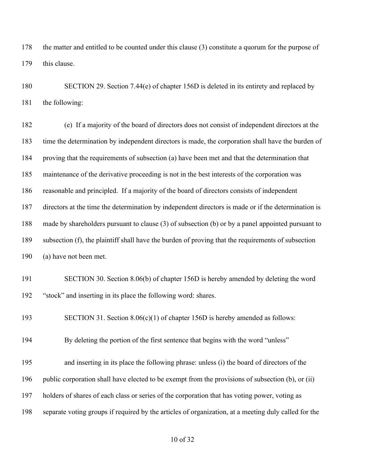the matter and entitled to be counted under this clause (3) constitute a quorum for the purpose of 179 this clause.

 SECTION 29. Section 7.44(e) of chapter 156D is deleted in its entirety and replaced by the following:

 (e) If a majority of the board of directors does not consist of independent directors at the time the determination by independent directors is made, the corporation shall have the burden of proving that the requirements of subsection (a) have been met and that the determination that maintenance of the derivative proceeding is not in the best interests of the corporation was reasonable and principled. If a majority of the board of directors consists of independent directors at the time the determination by independent directors is made or if the determination is made by shareholders pursuant to clause (3) of subsection (b) or by a panel appointed pursuant to subsection (f), the plaintiff shall have the burden of proving that the requirements of subsection (a) have not been met. SECTION 30. Section 8.06(b) of chapter 156D is hereby amended by deleting the word "stock" and inserting in its place the following word: shares. SECTION 31. Section 8.06(c)(1) of chapter 156D is hereby amended as follows: By deleting the portion of the first sentence that begins with the word "unless" and inserting in its place the following phrase: unless (i) the board of directors of the public corporation shall have elected to be exempt from the provisions of subsection (b), or (ii) holders of shares of each class or series of the corporation that has voting power, voting as separate voting groups if required by the articles of organization, at a meeting duly called for the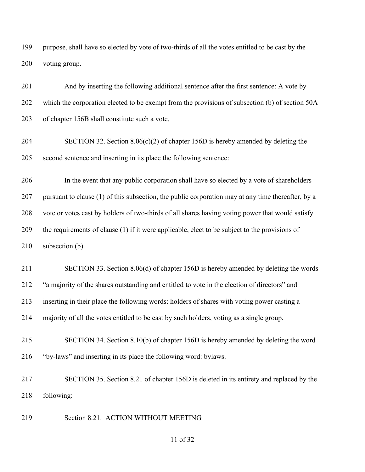purpose, shall have so elected by vote of two-thirds of all the votes entitled to be cast by the voting group.

 And by inserting the following additional sentence after the first sentence: A vote by which the corporation elected to be exempt from the provisions of subsection (b) of section 50A of chapter 156B shall constitute such a vote.

 SECTION 32. Section 8.06(c)(2) of chapter 156D is hereby amended by deleting the second sentence and inserting in its place the following sentence:

 In the event that any public corporation shall have so elected by a vote of shareholders pursuant to clause (1) of this subsection, the public corporation may at any time thereafter, by a vote or votes cast by holders of two-thirds of all shares having voting power that would satisfy the requirements of clause (1) if it were applicable, elect to be subject to the provisions of subsection (b).

 SECTION 33. Section 8.06(d) of chapter 156D is hereby amended by deleting the words "a majority of the shares outstanding and entitled to vote in the election of directors" and inserting in their place the following words: holders of shares with voting power casting a majority of all the votes entitled to be cast by such holders, voting as a single group.

 SECTION 34. Section 8.10(b) of chapter 156D is hereby amended by deleting the word "by-laws" and inserting in its place the following word: bylaws.

 SECTION 35. Section 8.21 of chapter 156D is deleted in its entirety and replaced by the following:

Section 8.21. ACTION WITHOUT MEETING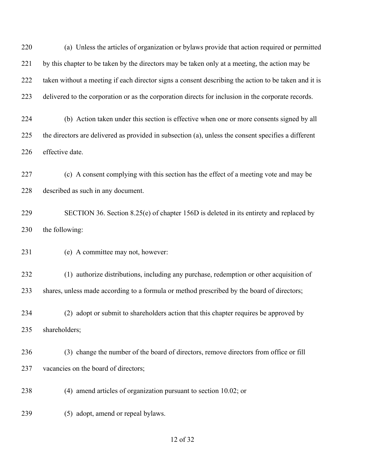(a) Unless the articles of organization or bylaws provide that action required or permitted by this chapter to be taken by the directors may be taken only at a meeting, the action may be taken without a meeting if each director signs a consent describing the action to be taken and it is delivered to the corporation or as the corporation directs for inclusion in the corporate records.

 (b) Action taken under this section is effective when one or more consents signed by all the directors are delivered as provided in subsection (a), unless the consent specifies a different effective date.

 (c) A consent complying with this section has the effect of a meeting vote and may be described as such in any document.

 SECTION 36. Section 8.25(e) of chapter 156D is deleted in its entirety and replaced by the following:

(e) A committee may not, however:

 (1) authorize distributions, including any purchase, redemption or other acquisition of shares, unless made according to a formula or method prescribed by the board of directors;

 (2) adopt or submit to shareholders action that this chapter requires be approved by shareholders;

 (3) change the number of the board of directors, remove directors from office or fill 237 vacancies on the board of directors;

(4) amend articles of organization pursuant to section 10.02; or

(5) adopt, amend or repeal bylaws.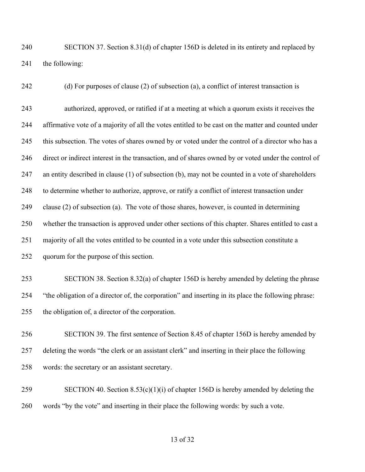SECTION 37. Section 8.31(d) of chapter 156D is deleted in its entirety and replaced by the following:

 (d) For purposes of clause (2) of subsection (a), a conflict of interest transaction is authorized, approved, or ratified if at a meeting at which a quorum exists it receives the affirmative vote of a majority of all the votes entitled to be cast on the matter and counted under 245 this subsection. The votes of shares owned by or voted under the control of a director who has a direct or indirect interest in the transaction, and of shares owned by or voted under the control of an entity described in clause (1) of subsection (b), may not be counted in a vote of shareholders to determine whether to authorize, approve, or ratify a conflict of interest transaction under clause (2) of subsection (a). The vote of those shares, however, is counted in determining whether the transaction is approved under other sections of this chapter. Shares entitled to cast a majority of all the votes entitled to be counted in a vote under this subsection constitute a quorum for the purpose of this section.

 SECTION 38. Section 8.32(a) of chapter 156D is hereby amended by deleting the phrase "the obligation of a director of, the corporation" and inserting in its place the following phrase: the obligation of, a director of the corporation.

 SECTION 39. The first sentence of Section 8.45 of chapter 156D is hereby amended by deleting the words "the clerk or an assistant clerk" and inserting in their place the following words: the secretary or an assistant secretary.

 SECTION 40. Section 8.53(c)(1)(i) of chapter 156D is hereby amended by deleting the words "by the vote" and inserting in their place the following words: by such a vote.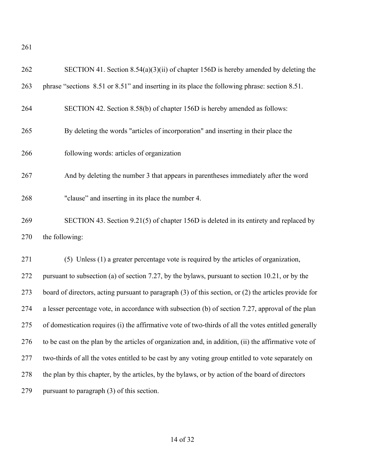| SECTION 41. Section $8.54(a)(3)(ii)$ of chapter 156D is hereby amended by deleting the                |
|-------------------------------------------------------------------------------------------------------|
| phrase "sections 8.51 or 8.51" and inserting in its place the following phrase: section 8.51.         |
| SECTION 42. Section 8.58(b) of chapter 156D is hereby amended as follows:                             |
| By deleting the words "articles of incorporation" and inserting in their place the                    |
| following words: articles of organization                                                             |
| And by deleting the number 3 that appears in parentheses immediately after the word                   |
| "clause" and inserting in its place the number 4.                                                     |
| SECTION 43. Section 9.21(5) of chapter 156D is deleted in its entirety and replaced by                |
| the following:                                                                                        |
| (5) Unless (1) a greater percentage vote is required by the articles of organization,                 |
| pursuant to subsection (a) of section 7.27, by the bylaws, pursuant to section 10.21, or by the       |
| board of directors, acting pursuant to paragraph (3) of this section, or (2) the articles provide for |
| a lesser percentage vote, in accordance with subsection (b) of section 7.27, approval of the plan     |
| of domestication requires (i) the affirmative vote of two-thirds of all the votes entitled generally  |
| to be cast on the plan by the articles of organization and, in addition, (ii) the affirmative vote of |
| two-thirds of all the votes entitled to be cast by any voting group entitled to vote separately on    |
| the plan by this chapter, by the articles, by the bylaws, or by action of the board of directors      |
| pursuant to paragraph (3) of this section.                                                            |
|                                                                                                       |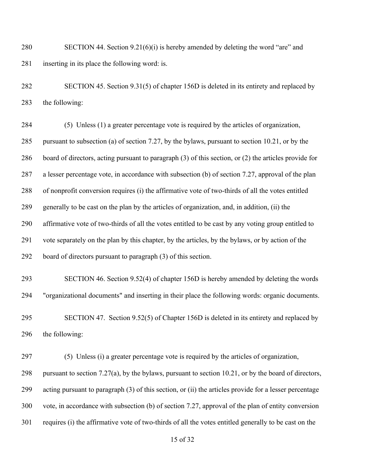SECTION 44. Section 9.21(6)(i) is hereby amended by deleting the word "are" and inserting in its place the following word: is.

 SECTION 45. Section 9.31(5) of chapter 156D is deleted in its entirety and replaced by the following:

 (5) Unless (1) a greater percentage vote is required by the articles of organization, pursuant to subsection (a) of section 7.27, by the bylaws, pursuant to section 10.21, or by the board of directors, acting pursuant to paragraph (3) of this section, or (2) the articles provide for a lesser percentage vote, in accordance with subsection (b) of section 7.27, approval of the plan of nonprofit conversion requires (i) the affirmative vote of two-thirds of all the votes entitled generally to be cast on the plan by the articles of organization, and, in addition, (ii) the affirmative vote of two-thirds of all the votes entitled to be cast by any voting group entitled to vote separately on the plan by this chapter, by the articles, by the bylaws, or by action of the board of directors pursuant to paragraph (3) of this section.

 SECTION 46. Section 9.52(4) of chapter 156D is hereby amended by deleting the words "organizational documents" and inserting in their place the following words: organic documents.

 SECTION 47. Section 9.52(5) of Chapter 156D is deleted in its entirety and replaced by the following:

 (5) Unless (i) a greater percentage vote is required by the articles of organization, pursuant to section 7.27(a), by the bylaws, pursuant to section 10.21, or by the board of directors, acting pursuant to paragraph (3) of this section, or (ii) the articles provide for a lesser percentage vote, in accordance with subsection (b) of section 7.27, approval of the plan of entity conversion requires (i) the affirmative vote of two-thirds of all the votes entitled generally to be cast on the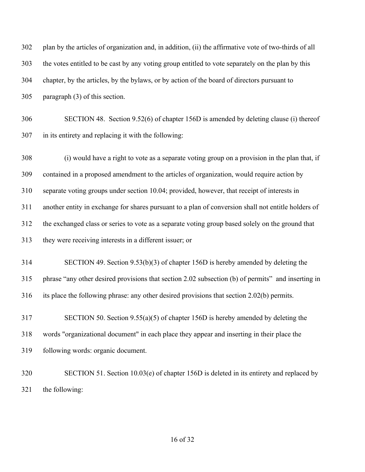| 302 | plan by the articles of organization and, in addition, (ii) the affirmative vote of two-thirds of all |
|-----|-------------------------------------------------------------------------------------------------------|
| 303 | the votes entitled to be cast by any voting group entitled to vote separately on the plan by this     |
| 304 | chapter, by the articles, by the bylaws, or by action of the board of directors pursuant to           |
| 305 | paragraph (3) of this section.                                                                        |
| 306 | SECTION 48. Section 9.52(6) of chapter 156D is amended by deleting clause (i) thereof                 |
| 307 | in its entirety and replacing it with the following:                                                  |
| 308 | (i) would have a right to vote as a separate voting group on a provision in the plan that, if         |
| 309 | contained in a proposed amendment to the articles of organization, would require action by            |
| 310 | separate voting groups under section 10.04; provided, however, that receipt of interests in           |
| 311 | another entity in exchange for shares pursuant to a plan of conversion shall not entitle holders of   |
| 312 | the exchanged class or series to vote as a separate voting group based solely on the ground that      |
| 313 | they were receiving interests in a different issuer; or                                               |
| 314 | SECTION 49. Section $9.53(b)(3)$ of chapter 156D is hereby amended by deleting the                    |
| 315 | phrase "any other desired provisions that section 2.02 subsection (b) of permits" and inserting in    |
| 316 | its place the following phrase: any other desired provisions that section 2.02(b) permits.            |
| 317 | SECTION 50. Section $9.55(a)(5)$ of chapter 156D is hereby amended by deleting the                    |
| 318 | words "organizational document" in each place they appear and inserting in their place the            |
| 319 | following words: organic document.                                                                    |
| 320 | SECTION 51. Section 10.03(e) of chapter 156D is deleted in its entirety and replaced by               |
| 321 | the following:                                                                                        |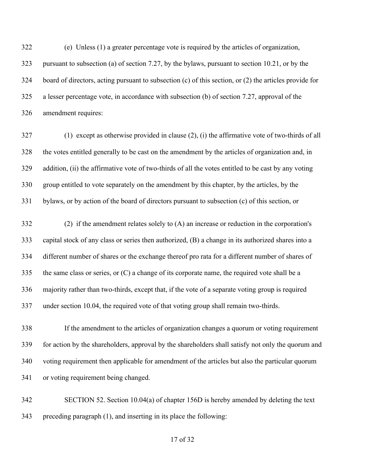(e) Unless (1) a greater percentage vote is required by the articles of organization, pursuant to subsection (a) of section 7.27, by the bylaws, pursuant to section 10.21, or by the board of directors, acting pursuant to subsection (c) of this section, or (2) the articles provide for a lesser percentage vote, in accordance with subsection (b) of section 7.27, approval of the amendment requires:

 (1) except as otherwise provided in clause (2), (i) the affirmative vote of two-thirds of all the votes entitled generally to be cast on the amendment by the articles of organization and, in addition, (ii) the affirmative vote of two-thirds of all the votes entitled to be cast by any voting group entitled to vote separately on the amendment by this chapter, by the articles, by the bylaws, or by action of the board of directors pursuant to subsection (c) of this section, or

 (2) if the amendment relates solely to (A) an increase or reduction in the corporation's capital stock of any class or series then authorized, (B) a change in its authorized shares into a different number of shares or the exchange thereof pro rata for a different number of shares of the same class or series, or (C) a change of its corporate name, the required vote shall be a majority rather than two-thirds, except that, if the vote of a separate voting group is required under section 10.04, the required vote of that voting group shall remain two-thirds.

 If the amendment to the articles of organization changes a quorum or voting requirement for action by the shareholders, approval by the shareholders shall satisfy not only the quorum and voting requirement then applicable for amendment of the articles but also the particular quorum or voting requirement being changed.

 SECTION 52. Section 10.04(a) of chapter 156D is hereby amended by deleting the text preceding paragraph (1), and inserting in its place the following: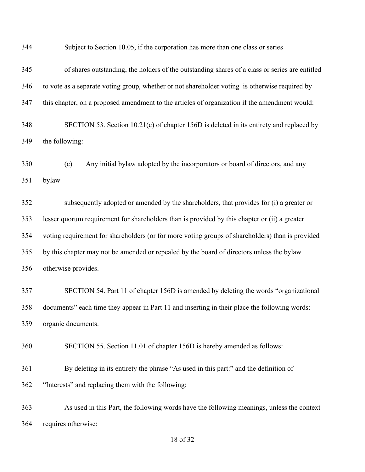| 344 | Subject to Section 10.05, if the corporation has more than one class or series                   |
|-----|--------------------------------------------------------------------------------------------------|
| 345 | of shares outstanding, the holders of the outstanding shares of a class or series are entitled   |
| 346 | to vote as a separate voting group, whether or not shareholder voting is otherwise required by   |
| 347 | this chapter, on a proposed amendment to the articles of organization if the amendment would:    |
| 348 | SECTION 53. Section 10.21(c) of chapter 156D is deleted in its entirety and replaced by          |
| 349 | the following:                                                                                   |
| 350 | Any initial bylaw adopted by the incorporators or board of directors, and any<br>(c)             |
| 351 | bylaw                                                                                            |
| 352 | subsequently adopted or amended by the shareholders, that provides for (i) a greater or          |
| 353 | lesser quorum requirement for shareholders than is provided by this chapter or (ii) a greater    |
| 354 | voting requirement for shareholders (or for more voting groups of shareholders) than is provided |
| 355 | by this chapter may not be amended or repealed by the board of directors unless the bylaw        |
| 356 | otherwise provides.                                                                              |
| 357 | SECTION 54. Part 11 of chapter 156D is amended by deleting the words "organizational"            |
| 358 | documents" each time they appear in Part 11 and inserting in their place the following words:    |
| 359 | organic documents.                                                                               |
| 360 | SECTION 55. Section 11.01 of chapter 156D is hereby amended as follows:                          |
| 361 | By deleting in its entirety the phrase "As used in this part." and the definition of             |
| 362 | "Interests" and replacing them with the following:                                               |
| 363 | As used in this Part, the following words have the following meanings, unless the context        |
| 364 | requires otherwise:                                                                              |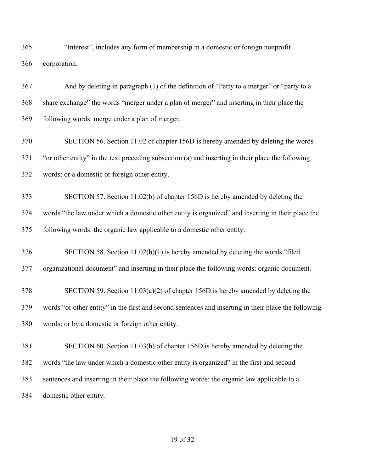"Interest", includes any form of membership in a domestic or foreign nonprofit corporation.

 And by deleting in paragraph (1) of the definition of "Party to a merger" or "party to a share exchange" the words "merger under a plan of merger" and inserting in their place the following words: merge under a plan of merger.

 SECTION 56. Section 11.02 of chapter 156D is hereby amended by deleting the words "or other entity" in the text preceding subsection (a) and inserting in their place the following words: or a domestic or foreign other entity.

 SECTION 57. Section 11.02(b) of chapter 156D is hereby amended by deleting the words "the law under which a domestic other entity is organized" and inserting in their place the following words: the organic law applicable to a domestic other entity.

 SECTION 58. Section 11.02(b)(1) is hereby amended by deleting the words "filed organizational document" and inserting in their place the following words: organic document.

 SECTION 59. Section 11.03(a)(2) of chapter 156D is hereby amended by deleting the words "or other entity" in the first and second sentences and inserting in their place the following words: or by a domestic or foreign other entity.

 SECTION 60. Section 11.03(b) of chapter 156D is hereby amended by deleting the words "the law under which a domestic other entity is organized" in the first and second sentences and inserting in their place the following words: the organic law applicable to a domestic other entity.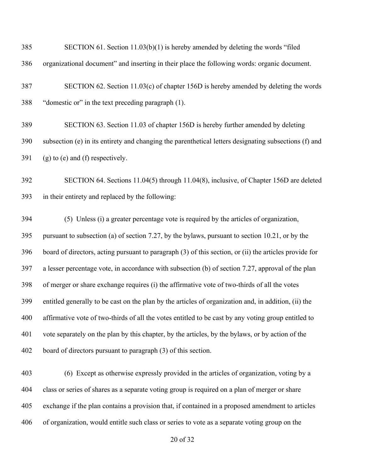| 385 | SECTION 61. Section 11.03(b)(1) is hereby amended by deleting the words "filed                         |
|-----|--------------------------------------------------------------------------------------------------------|
| 386 | organizational document" and inserting in their place the following words: organic document.           |
| 387 | SECTION 62. Section 11.03(c) of chapter 156D is hereby amended by deleting the words                   |
| 388 | "domestic or" in the text preceding paragraph (1).                                                     |
| 389 | SECTION 63. Section 11.03 of chapter 156D is hereby further amended by deleting                        |
| 390 | subsection (e) in its entirety and changing the parenthetical letters designating subsections (f) and  |
| 391 | $(g)$ to $(e)$ and $(f)$ respectively.                                                                 |
| 392 | SECTION 64. Sections 11.04(5) through 11.04(8), inclusive, of Chapter 156D are deleted                 |
| 393 | in their entirety and replaced by the following:                                                       |
| 394 | (5) Unless (i) a greater percentage vote is required by the articles of organization,                  |
| 395 | pursuant to subsection (a) of section 7.27, by the bylaws, pursuant to section 10.21, or by the        |
| 396 | board of directors, acting pursuant to paragraph (3) of this section, or (ii) the articles provide for |
| 397 | a lesser percentage vote, in accordance with subsection (b) of section 7.27, approval of the plan      |
| 398 | of merger or share exchange requires (i) the affirmative vote of two-thirds of all the votes           |
| 399 | entitled generally to be cast on the plan by the articles of organization and, in addition, (ii) the   |
| 400 | affirmative vote of two-thirds of all the votes entitled to be cast by any voting group entitled to    |
| 401 | vote separately on the plan by this chapter, by the articles, by the bylaws, or by action of the       |
| 402 | board of directors pursuant to paragraph (3) of this section.                                          |
| 403 | (6) Except as otherwise expressly provided in the articles of organization, voting by a                |
| 404 | class or series of shares as a separate voting group is required on a plan of merger or share          |
| 405 | exchange if the plan contains a provision that, if contained in a proposed amendment to articles       |
| 406 | of organization, would entitle such class or series to vote as a separate voting group on the          |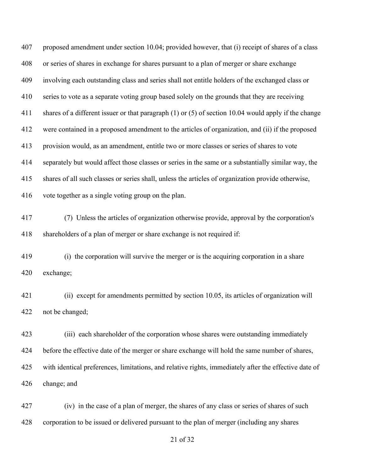proposed amendment under section 10.04; provided however, that (i) receipt of shares of a class or series of shares in exchange for shares pursuant to a plan of merger or share exchange involving each outstanding class and series shall not entitle holders of the exchanged class or series to vote as a separate voting group based solely on the grounds that they are receiving shares of a different issuer or that paragraph (1) or (5) of section 10.04 would apply if the change were contained in a proposed amendment to the articles of organization, and (ii) if the proposed provision would, as an amendment, entitle two or more classes or series of shares to vote separately but would affect those classes or series in the same or a substantially similar way, the shares of all such classes or series shall, unless the articles of organization provide otherwise, vote together as a single voting group on the plan. (7) Unless the articles of organization otherwise provide, approval by the corporation's shareholders of a plan of merger or share exchange is not required if: (i) the corporation will survive the merger or is the acquiring corporation in a share exchange; (ii) except for amendments permitted by section 10.05, its articles of organization will not be changed; (iii) each shareholder of the corporation whose shares were outstanding immediately before the effective date of the merger or share exchange will hold the same number of shares, with identical preferences, limitations, and relative rights, immediately after the effective date of

change; and

 (iv) in the case of a plan of merger, the shares of any class or series of shares of such corporation to be issued or delivered pursuant to the plan of merger (including any shares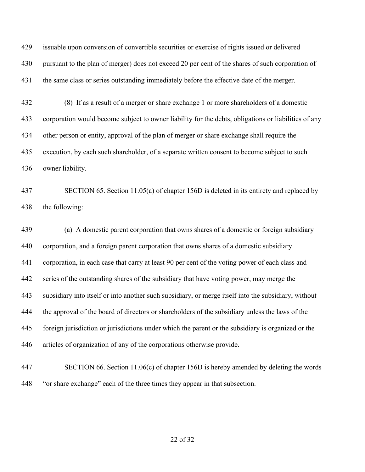issuable upon conversion of convertible securities or exercise of rights issued or delivered pursuant to the plan of merger) does not exceed 20 per cent of the shares of such corporation of the same class or series outstanding immediately before the effective date of the merger.

 (8) If as a result of a merger or share exchange 1 or more shareholders of a domestic corporation would become subject to owner liability for the debts, obligations or liabilities of any other person or entity, approval of the plan of merger or share exchange shall require the execution, by each such shareholder, of a separate written consent to become subject to such owner liability.

 SECTION 65. Section 11.05(a) of chapter 156D is deleted in its entirety and replaced by the following:

 (a) A domestic parent corporation that owns shares of a domestic or foreign subsidiary corporation, and a foreign parent corporation that owns shares of a domestic subsidiary corporation, in each case that carry at least 90 per cent of the voting power of each class and series of the outstanding shares of the subsidiary that have voting power, may merge the subsidiary into itself or into another such subsidiary, or merge itself into the subsidiary, without the approval of the board of directors or shareholders of the subsidiary unless the laws of the foreign jurisdiction or jurisdictions under which the parent or the subsidiary is organized or the articles of organization of any of the corporations otherwise provide.

 SECTION 66. Section 11.06(c) of chapter 156D is hereby amended by deleting the words "or share exchange" each of the three times they appear in that subsection.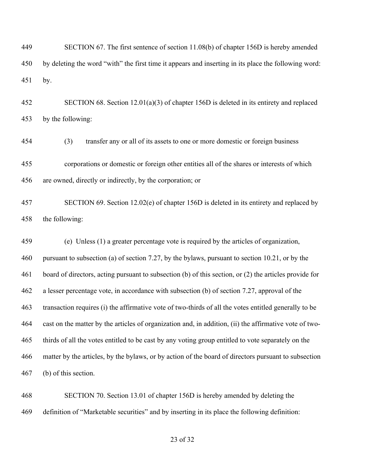| 449 | SECTION 67. The first sentence of section 11.08(b) of chapter 156D is hereby amended                   |
|-----|--------------------------------------------------------------------------------------------------------|
| 450 | by deleting the word "with" the first time it appears and inserting in its place the following word:   |
| 451 | by.                                                                                                    |
| 452 | SECTION 68. Section $12.01(a)(3)$ of chapter 156D is deleted in its entirety and replaced              |
| 453 | by the following:                                                                                      |
| 454 | (3)<br>transfer any or all of its assets to one or more domestic or foreign business                   |
| 455 | corporations or domestic or foreign other entities all of the shares or interests of which             |
| 456 | are owned, directly or indirectly, by the corporation; or                                              |
| 457 | SECTION 69. Section 12.02(e) of chapter 156D is deleted in its entirety and replaced by                |
| 458 | the following:                                                                                         |
| 459 | (e) Unless (1) a greater percentage vote is required by the articles of organization,                  |
| 460 | pursuant to subsection (a) of section 7.27, by the bylaws, pursuant to section 10.21, or by the        |
| 461 | board of directors, acting pursuant to subsection (b) of this section, or (2) the articles provide for |
| 462 | a lesser percentage vote, in accordance with subsection (b) of section 7.27, approval of the           |
| 463 | transaction requires (i) the affirmative vote of two-thirds of all the votes entitled generally to be  |
| 464 | cast on the matter by the articles of organization and, in addition, (ii) the affirmative vote of two- |
| 465 | thirds of all the votes entitled to be cast by any voting group entitled to vote separately on the     |
| 466 | matter by the articles, by the bylaws, or by action of the board of directors pursuant to subsection   |
| 467 | (b) of this section.                                                                                   |
| 468 | SECTION 70. Section 13.01 of chapter 156D is hereby amended by deleting the                            |
| 469 | definition of "Marketable securities" and by inserting in its place the following definition:          |
|     |                                                                                                        |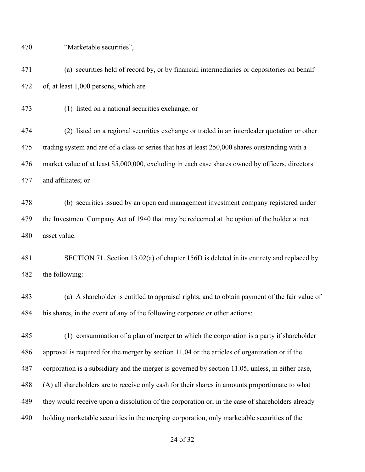"Marketable securities",

 (a) securities held of record by, or by financial intermediaries or depositories on behalf of, at least 1,000 persons, which are

(1) listed on a national securities exchange; or

 (2) listed on a regional securities exchange or traded in an interdealer quotation or other trading system and are of a class or series that has at least 250,000 shares outstanding with a market value of at least \$5,000,000, excluding in each case shares owned by officers, directors and affiliates; or

 (b) securities issued by an open end management investment company registered under the Investment Company Act of 1940 that may be redeemed at the option of the holder at net asset value.

 SECTION 71. Section 13.02(a) of chapter 156D is deleted in its entirety and replaced by the following:

 (a) A shareholder is entitled to appraisal rights, and to obtain payment of the fair value of his shares, in the event of any of the following corporate or other actions:

 (1) consummation of a plan of merger to which the corporation is a party if shareholder approval is required for the merger by section 11.04 or the articles of organization or if the corporation is a subsidiary and the merger is governed by section 11.05, unless, in either case, (A) all shareholders are to receive only cash for their shares in amounts proportionate to what they would receive upon a dissolution of the corporation or, in the case of shareholders already holding marketable securities in the merging corporation, only marketable securities of the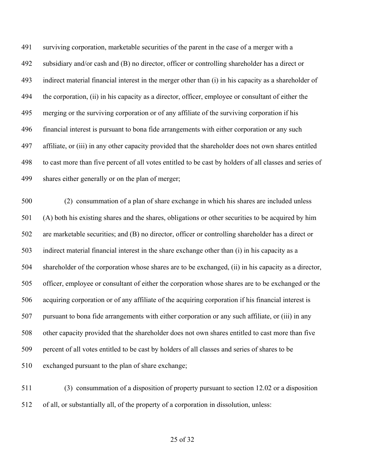surviving corporation, marketable securities of the parent in the case of a merger with a subsidiary and/or cash and (B) no director, officer or controlling shareholder has a direct or indirect material financial interest in the merger other than (i) in his capacity as a shareholder of the corporation, (ii) in his capacity as a director, officer, employee or consultant of either the merging or the surviving corporation or of any affiliate of the surviving corporation if his financial interest is pursuant to bona fide arrangements with either corporation or any such affiliate, or (iii) in any other capacity provided that the shareholder does not own shares entitled to cast more than five percent of all votes entitled to be cast by holders of all classes and series of shares either generally or on the plan of merger;

 (2) consummation of a plan of share exchange in which his shares are included unless (A) both his existing shares and the shares, obligations or other securities to be acquired by him are marketable securities; and (B) no director, officer or controlling shareholder has a direct or indirect material financial interest in the share exchange other than (i) in his capacity as a shareholder of the corporation whose shares are to be exchanged, (ii) in his capacity as a director, officer, employee or consultant of either the corporation whose shares are to be exchanged or the acquiring corporation or of any affiliate of the acquiring corporation if his financial interest is pursuant to bona fide arrangements with either corporation or any such affiliate, or (iii) in any other capacity provided that the shareholder does not own shares entitled to cast more than five percent of all votes entitled to be cast by holders of all classes and series of shares to be exchanged pursuant to the plan of share exchange;

 (3) consummation of a disposition of property pursuant to section 12.02 or a disposition of all, or substantially all, of the property of a corporation in dissolution, unless: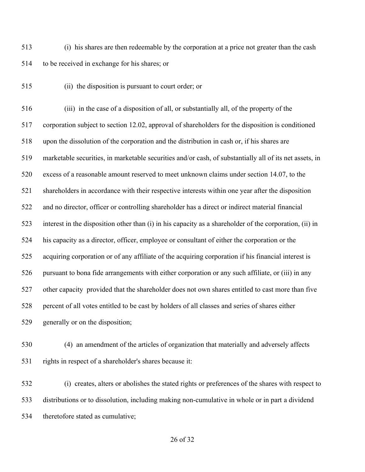(i) his shares are then redeemable by the corporation at a price not greater than the cash to be received in exchange for his shares; or

(ii) the disposition is pursuant to court order; or

 (iii) in the case of a disposition of all, or substantially all, of the property of the corporation subject to section 12.02, approval of shareholders for the disposition is conditioned upon the dissolution of the corporation and the distribution in cash or, if his shares are marketable securities, in marketable securities and/or cash, of substantially all of its net assets, in excess of a reasonable amount reserved to meet unknown claims under section 14.07, to the shareholders in accordance with their respective interests within one year after the disposition and no director, officer or controlling shareholder has a direct or indirect material financial interest in the disposition other than (i) in his capacity as a shareholder of the corporation, (ii) in his capacity as a director, officer, employee or consultant of either the corporation or the acquiring corporation or of any affiliate of the acquiring corporation if his financial interest is pursuant to bona fide arrangements with either corporation or any such affiliate, or (iii) in any other capacity provided that the shareholder does not own shares entitled to cast more than five percent of all votes entitled to be cast by holders of all classes and series of shares either generally or on the disposition;

 (4) an amendment of the articles of organization that materially and adversely affects rights in respect of a shareholder's shares because it:

 (i) creates, alters or abolishes the stated rights or preferences of the shares with respect to distributions or to dissolution, including making non-cumulative in whole or in part a dividend theretofore stated as cumulative;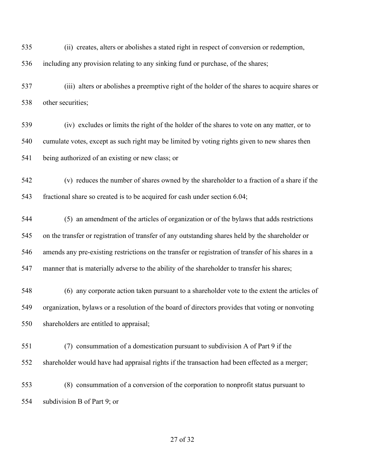(ii) creates, alters or abolishes a stated right in respect of conversion or redemption,

including any provision relating to any sinking fund or purchase, of the shares;

 (iii) alters or abolishes a preemptive right of the holder of the shares to acquire shares or other securities;

 (iv) excludes or limits the right of the holder of the shares to vote on any matter, or to cumulate votes, except as such right may be limited by voting rights given to new shares then being authorized of an existing or new class; or

 (v) reduces the number of shares owned by the shareholder to a fraction of a share if the fractional share so created is to be acquired for cash under section 6.04;

 (5) an amendment of the articles of organization or of the bylaws that adds restrictions on the transfer or registration of transfer of any outstanding shares held by the shareholder or amends any pre-existing restrictions on the transfer or registration of transfer of his shares in a manner that is materially adverse to the ability of the shareholder to transfer his shares;

 (6) any corporate action taken pursuant to a shareholder vote to the extent the articles of organization, bylaws or a resolution of the board of directors provides that voting or nonvoting shareholders are entitled to appraisal;

 (7) consummation of a domestication pursuant to subdivision A of Part 9 if the shareholder would have had appraisal rights if the transaction had been effected as a merger;

 (8) consummation of a conversion of the corporation to nonprofit status pursuant to subdivision B of Part 9; or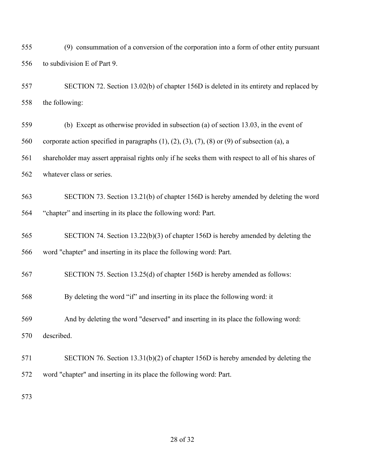(9) consummation of a conversion of the corporation into a form of other entity pursuant to subdivision E of Part 9.

 SECTION 72. Section 13.02(b) of chapter 156D is deleted in its entirety and replaced by the following:

 (b) Except as otherwise provided in subsection (a) of section 13.03, in the event of corporate action specified in paragraphs (1), (2), (3), (7), (8) or (9) of subsection (a), a shareholder may assert appraisal rights only if he seeks them with respect to all of his shares of whatever class or series.

 SECTION 73. Section 13.21(b) of chapter 156D is hereby amended by deleting the word "chapter" and inserting in its place the following word: Part.

 SECTION 74. Section 13.22(b)(3) of chapter 156D is hereby amended by deleting the word "chapter" and inserting in its place the following word: Part.

SECTION 75. Section 13.25(d) of chapter 156D is hereby amended as follows:

By deleting the word "if" and inserting in its place the following word: it

And by deleting the word "deserved" and inserting in its place the following word:

described.

 SECTION 76. Section 13.31(b)(2) of chapter 156D is hereby amended by deleting the word "chapter" and inserting in its place the following word: Part.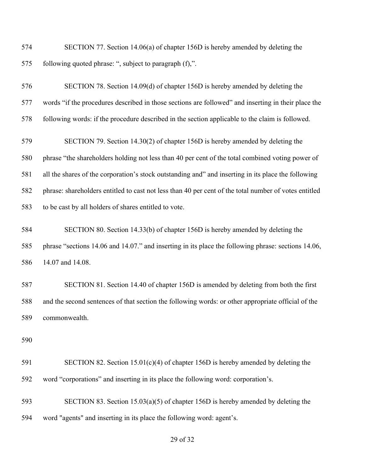SECTION 77. Section 14.06(a) of chapter 156D is hereby amended by deleting the following quoted phrase: ", subject to paragraph (f),".

 SECTION 78. Section 14.09(d) of chapter 156D is hereby amended by deleting the words "if the procedures described in those sections are followed" and inserting in their place the following words: if the procedure described in the section applicable to the claim is followed.

 SECTION 79. Section 14.30(2) of chapter 156D is hereby amended by deleting the phrase "the shareholders holding not less than 40 per cent of the total combined voting power of all the shares of the corporation's stock outstanding and" and inserting in its place the following phrase: shareholders entitled to cast not less than 40 per cent of the total number of votes entitled to be cast by all holders of shares entitled to vote.

 SECTION 80. Section 14.33(b) of chapter 156D is hereby amended by deleting the phrase "sections 14.06 and 14.07." and inserting in its place the following phrase: sections 14.06, 14.07 and 14.08.

 SECTION 81. Section 14.40 of chapter 156D is amended by deleting from both the first and the second sentences of that section the following words: or other appropriate official of the commonwealth.

 SECTION 82. Section 15.01(c)(4) of chapter 156D is hereby amended by deleting the word "corporations" and inserting in its place the following word: corporation's.

 SECTION 83. Section 15.03(a)(5) of chapter 156D is hereby amended by deleting the word "agents" and inserting in its place the following word: agent's.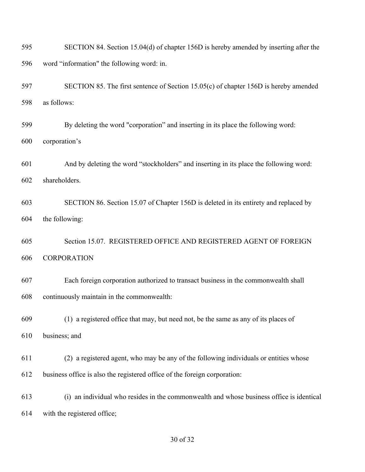| 595 | SECTION 84. Section 15.04(d) of chapter 156D is hereby amended by inserting after the    |
|-----|------------------------------------------------------------------------------------------|
| 596 | word "information" the following word: in.                                               |
| 597 | SECTION 85. The first sentence of Section 15.05(c) of chapter 156D is hereby amended     |
| 598 | as follows:                                                                              |
| 599 | By deleting the word "corporation" and inserting in its place the following word:        |
| 600 | corporation's                                                                            |
| 601 | And by deleting the word "stockholders" and inserting in its place the following word:   |
| 602 | shareholders.                                                                            |
| 603 | SECTION 86. Section 15.07 of Chapter 156D is deleted in its entirety and replaced by     |
| 604 | the following:                                                                           |
| 605 | Section 15.07. REGISTERED OFFICE AND REGISTERED AGENT OF FOREIGN                         |
| 606 | <b>CORPORATION</b>                                                                       |
| 607 | Each foreign corporation authorized to transact business in the commonwealth shall       |
| 608 | continuously maintain in the commonwealth:                                               |
| 609 | (1) a registered office that may, but need not, be the same as any of its places of      |
| 610 | business; and                                                                            |
| 611 | (2) a registered agent, who may be any of the following individuals or entities whose    |
| 612 | business office is also the registered office of the foreign corporation:                |
| 613 | (i) an individual who resides in the commonwealth and whose business office is identical |
| 614 | with the registered office;                                                              |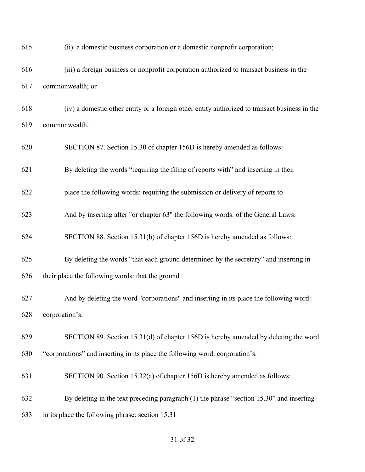| 615 | (ii) a domestic business corporation or a domestic nonprofit corporation;                     |
|-----|-----------------------------------------------------------------------------------------------|
| 616 | (iii) a foreign business or nonprofit corporation authorized to transact business in the      |
| 617 | commonwealth; or                                                                              |
| 618 | (iv) a domestic other entity or a foreign other entity authorized to transact business in the |
| 619 | commonwealth.                                                                                 |
| 620 | SECTION 87. Section 15.30 of chapter 156D is hereby amended as follows:                       |
| 621 | By deleting the words "requiring the filing of reports with" and inserting in their           |
| 622 | place the following words: requiring the submission or delivery of reports to                 |
| 623 | And by inserting after "or chapter 63" the following words: of the General Laws.              |
| 624 | SECTION 88. Section 15.31(b) of chapter 156D is hereby amended as follows:                    |
| 625 | By deleting the words "that each ground determined by the secretary" and inserting in         |
| 626 | their place the following words: that the ground                                              |
| 627 | And by deleting the word "corporations" and inserting in its place the following word:        |
| 628 | corporation's.                                                                                |
| 629 | SECTION 89. Section 15.31(d) of chapter 156D is hereby amended by deleting the word           |
| 630 | "corporations" and inserting in its place the following word: corporation's.                  |
| 631 | SECTION 90. Section 15.32(a) of chapter 156D is hereby amended as follows:                    |
| 632 | By deleting in the text preceding paragraph (1) the phrase "section 15.30" and inserting      |
| 633 | in its place the following phrase: section 15.31                                              |